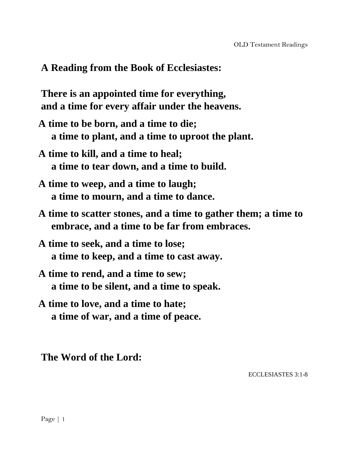### **A Reading from the Book of Ecclesiastes:**

**There is an appointed time for everything, and a time for every affair under the heavens.**

- **A time to be born, and a time to die; a time to plant, and a time to uproot the plant.**
- **A time to kill, and a time to heal; a time to tear down, and a time to build.**
- **A time to weep, and a time to laugh; a time to mourn, and a time to dance.**
- **A time to scatter stones, and a time to gather them; a time to embrace, and a time to be far from embraces.**
- **A time to seek, and a time to lose; a time to keep, and a time to cast away.**
- **A time to rend, and a time to sew; a time to be silent, and a time to speak.**
- **A time to love, and a time to hate; a time of war, and a time of peace.**

#### **The Word of the Lord:**

ECCLESIASTES 3:1-8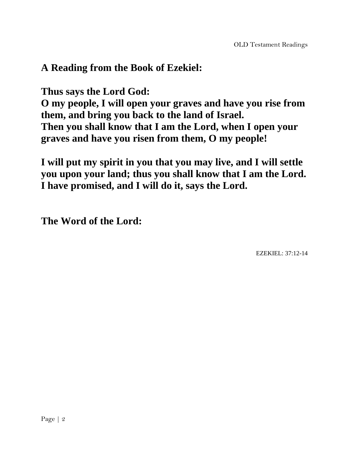# **A Reading from the Book of Ezekiel:**

**Thus says the Lord God:**

**O my people, I will open your graves and have you rise from them, and bring you back to the land of Israel. Then you shall know that I am the Lord, when I open your graves and have you risen from them, O my people!**

**I will put my spirit in you that you may live, and I will settle you upon your land; thus you shall know that I am the Lord. I have promised, and I will do it, says the Lord.**

**The Word of the Lord:**

EZEKIEL: 37:12-14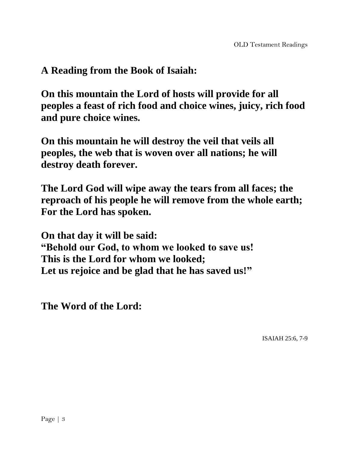## **A Reading from the Book of Isaiah:**

**On this mountain the Lord of hosts will provide for all peoples a feast of rich food and choice wines, juicy, rich food and pure choice wines.** 

**On this mountain he will destroy the veil that veils all peoples, the web that is woven over all nations; he will destroy death forever.** 

**The Lord God will wipe away the tears from all faces; the reproach of his people he will remove from the whole earth; For the Lord has spoken.**

**On that day it will be said: "Behold our God, to whom we looked to save us! This is the Lord for whom we looked; Let us rejoice and be glad that he has saved us!"**

**The Word of the Lord:**

ISAIAH 25:6, 7-9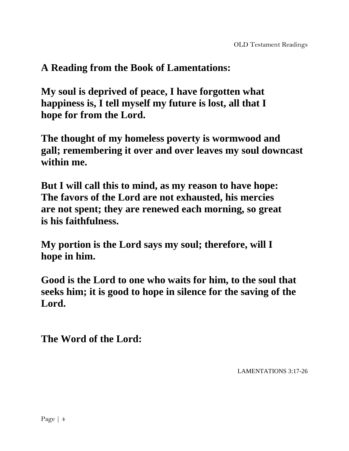## **A Reading from the Book of Lamentations:**

**My soul is deprived of peace, I have forgotten what happiness is, I tell myself my future is lost, all that I hope for from the Lord.** 

**The thought of my homeless poverty is wormwood and gall; remembering it over and over leaves my soul downcast within me.**

**But I will call this to mind, as my reason to have hope: The favors of the Lord are not exhausted, his mercies are not spent; they are renewed each morning, so great is his faithfulness.** 

**My portion is the Lord says my soul; therefore, will I hope in him.** 

**Good is the Lord to one who waits for him, to the soul that seeks him; it is good to hope in silence for the saving of the Lord.** 

**The Word of the Lord:**

LAMENTATIONS 3:17-26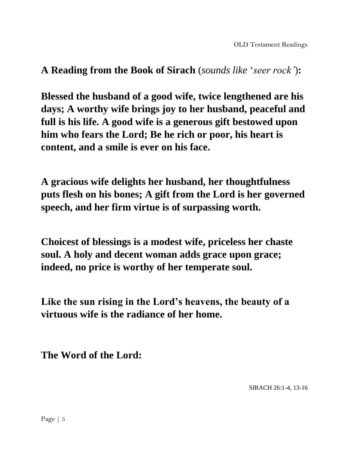**A Reading from the Book of Sirach** (*sounds like* '*seer rock'*)**:**

**Blessed the husband of a good wife, twice lengthened are his days; A worthy wife brings joy to her husband, peaceful and full is his life. A good wife is a generous gift bestowed upon him who fears the Lord; Be he rich or poor, his heart is content, and a smile is ever on his face.** 

**A gracious wife delights her husband, her thoughtfulness puts flesh on his bones; A gift from the Lord is her governed speech, and her firm virtue is of surpassing worth.** 

**Choicest of blessings is a modest wife, priceless her chaste soul. A holy and decent woman adds grace upon grace; indeed, no price is worthy of her temperate soul.** 

**Like the sun rising in the Lord's heavens, the beauty of a virtuous wife is the radiance of her home.**

**The Word of the Lord:**

SIRACH 26:1-4, 13-16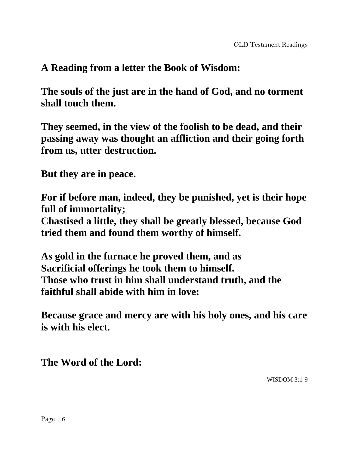**A Reading from a letter the Book of Wisdom:**

**The souls of the just are in the hand of God, and no torment shall touch them.** 

**They seemed, in the view of the foolish to be dead, and their passing away was thought an affliction and their going forth from us, utter destruction.**

**But they are in peace.** 

**For if before man, indeed, they be punished, yet is their hope full of immortality;**

**Chastised a little, they shall be greatly blessed, because God tried them and found them worthy of himself.**

**As gold in the furnace he proved them, and as Sacrificial offerings he took them to himself. Those who trust in him shall understand truth, and the faithful shall abide with him in love:**

**Because grace and mercy are with his holy ones, and his care is with his elect.** 

**The Word of the Lord:**

WISDOM 3:1-9